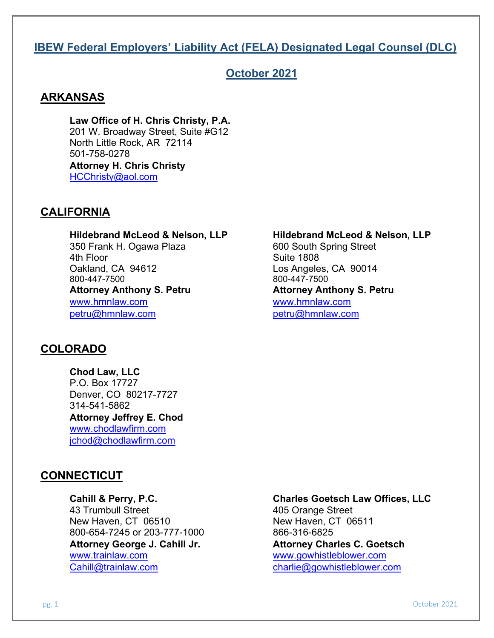# **IBEW Federal Employers' Liability Act (FELA) Designated Legal Counsel (DLC)**

# **October 2021**

# **ARKANSAS**

**Law Office of H. Chris Christy, P.A.** 201 W. Broadway Street, Suite #G12 North Little Rock, AR 72114 501-758-0278 **Attorney H. Chris Christy** [HCChristy@aol.com](mailto:HCChristy@aol.com)

# **CALIFORNIA**

**Hildebrand McLeod & Nelson, LLP Hildebrand McLeod & Nelson, LLP**<br>350 Frank H. Ogawa Plaza **by** 600 South Spring Street 350 Frank H. Ogawa Plaza 4th Floor Suite 1808 Oakland, CA 94612<br>800-447-7500<br>800-447-7500 **Attorney Anthony S. Petru Attorney Anthony S. Petru** [www.hmnlaw.com](http://www.hmnlaw.com/) [www.hmnlaw.com](http://www.hmnlaw.com/) [petru@hmnlaw.com](mailto:petru@hmnlaw.com) [petru@hmnlaw.com](mailto:petru@hmnlaw.com)

# **COLORADO**

**Chod Law, LLC** P.O. Box 17727 Denver, CO 80217-7727 314-541-5862 **Attorney Jeffrey E. Chod** [www.chodlawfirm.com](http://www.chodlawfirm.com/) [jchod@chodlawfirm.com](mailto:jchod@chodlawfirm.com)

# **CONNECTICUT**

43 Trumbull Street<br>
New Haven, CT 06510<br>
New Haven, CT 06510 New Haven, CT 06510 800-654-7245 or 203-777-1000 866-316-6825 [www.trainlaw.com](http://www.trainlaw.com/) www.gowhistleblower.com [Cahill@trainlaw.com](mailto:Cahill@trainlaw.com) [charlie@gowhistleblower.com](mailto:charlie@gowhistleblower.com)

[800-447-7500](tel:800-447-7500) 800-447-7500

# **Cahill & Perry, P.C. Charles Goetsch Law Offices, LLC**

**Attorney George J. Cahill Jr. Attorney Charles C. Goetsch**

pg. 1 October 2021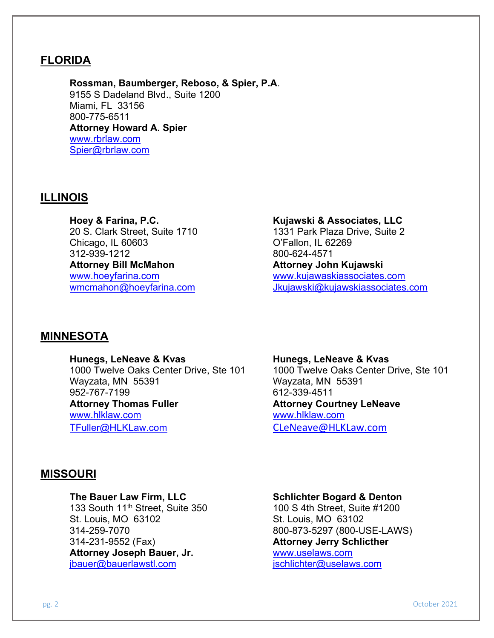# **FLORIDA**

**Rossman, Baumberger, Reboso, & Spier, P.A**. 9155 S Dadeland Blvd., Suite 1200 Miami, FL 33156 800-775-6511 **Attorney Howard A. Spier** [www.rbrlaw.com](http://www.rbrlaw.com/) [Spier@rbrlaw.com](mailto:Spier@rbrlaw.com)

## **ILLINOIS**

**Hoey & Farina, P.C.**  20 S. Clark Street, Suite 1710 Chicago, IL 60603 312-939-1212 **Attorney Bill McMahon** [www.hoeyfarina.com](http://www.hoeyfarina.com/)

### **Kujawski & Associates, LLC**

1331 Park Plaza Drive, Suite 2 O'Fallon, IL 62269 800-624-4571 **Attorney John Kujawski** [www.kujawaskiassociates.com](http://www.kujawaskiassociates.com/) [wmcmahon@hoeyfarina.com](mailto:wmcmahon@hoeyfarina.com) [Jkujawski@kujawskiassociates.com](mailto:Jkujawski@kujawskiassociates.com)

# **MINNESOTA**

### **Hunegs, LeNeave & Kvas Hunegs, LeNeave & Kvas**

1000 Twelve Oaks Center Drive, Ste 101 1000 Twelve Oaks Center Drive, Ste 101 Wayzata, MN 55391 Wayzata, MN 55391 952-767-7199 612-339-4511 **Attorney Thomas Fuller Attorney Courtney LeNeave** [www.hlklaw.com](http://www.hlklaw.com/) [www.hlklaw.com](http://www.hlklaw.com/) [TFuller@HLKLaw.com](mailto:TFuller@HLKLaw.com) [CLeNeave@HLKLaw.com](mailto:CLeNeave@HLKLaw.com)

# **MISSOURI**

133 South 11<sup>th</sup> Street, Suite 350 100 S 4th Street, Suite #1200<br>St. Louis, MO 63102 5t. Louis, MO 63102 St. Louis, MO 63102 314-231-9552 (Fax) **Attorney Jerry Schlicther Attorney Joseph Bauer, Jr.** ibauer@bauerlawstl.com ischlichter@uselaws.com

### **The Bauer Law Firm, LLC Schlichter Bogard & Denton**

314-259-7070 [800-873-5297](javascript:void(0)) (800-USE-LAWS)